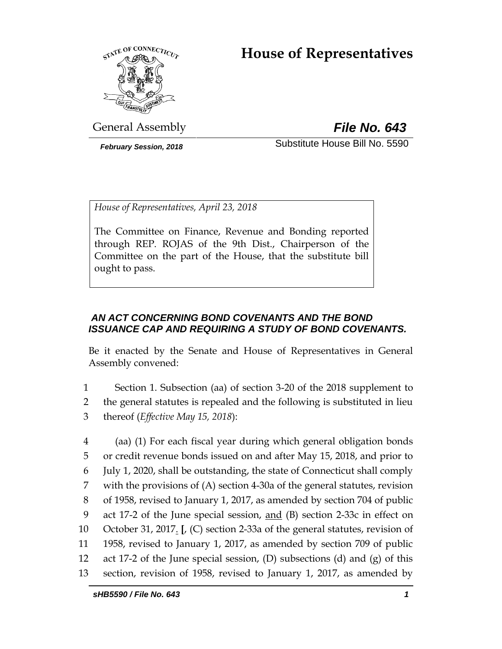# **House of Representatives**



General Assembly *File No. 643*

*February Session, 2018* Substitute House Bill No. 5590

*House of Representatives, April 23, 2018*

The Committee on Finance, Revenue and Bonding reported through REP. ROJAS of the 9th Dist., Chairperson of the Committee on the part of the House, that the substitute bill ought to pass.

## *AN ACT CONCERNING BOND COVENANTS AND THE BOND ISSUANCE CAP AND REQUIRING A STUDY OF BOND COVENANTS.*

Be it enacted by the Senate and House of Representatives in General Assembly convened:

1 Section 1. Subsection (aa) of section 3-20 of the 2018 supplement to 2 the general statutes is repealed and the following is substituted in lieu 3 thereof (*Effective May 15, 2018*):

 (aa) (1) For each fiscal year during which general obligation bonds or credit revenue bonds issued on and after May 15, 2018, and prior to July 1, 2020, shall be outstanding, the state of Connecticut shall comply with the provisions of (A) section 4-30a of the general statutes, revision of 1958, revised to January 1, 2017, as amended by section 704 of public act 17-2 of the June special session, and (B) section 2-33c in effect on October 31, 2017. **[**, (C) section 2-33a of the general statutes, revision of 1958, revised to January 1, 2017, as amended by section 709 of public act 17-2 of the June special session, (D) subsections (d) and (g) of this section, revision of 1958, revised to January 1, 2017, as amended by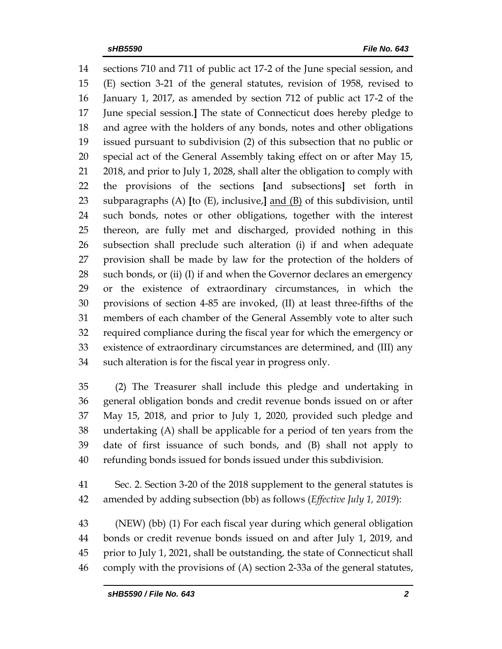sections 710 and 711 of public act 17-2 of the June special session, and (E) section 3-21 of the general statutes, revision of 1958, revised to January 1, 2017, as amended by section 712 of public act 17-2 of the June special session.**]** The state of Connecticut does hereby pledge to and agree with the holders of any bonds, notes and other obligations issued pursuant to subdivision (2) of this subsection that no public or special act of the General Assembly taking effect on or after May 15, 2018, and prior to July 1, 2028, shall alter the obligation to comply with the provisions of the sections **[**and subsections**]** set forth in subparagraphs (A) **[**to (E), inclusive,**]** and (B) of this subdivision, until such bonds, notes or other obligations, together with the interest thereon, are fully met and discharged, provided nothing in this subsection shall preclude such alteration (i) if and when adequate provision shall be made by law for the protection of the holders of such bonds, or (ii) (I) if and when the Governor declares an emergency or the existence of extraordinary circumstances, in which the provisions of section 4-85 are invoked, (II) at least three-fifths of the members of each chamber of the General Assembly vote to alter such required compliance during the fiscal year for which the emergency or existence of extraordinary circumstances are determined, and (III) any such alteration is for the fiscal year in progress only.

 (2) The Treasurer shall include this pledge and undertaking in general obligation bonds and credit revenue bonds issued on or after May 15, 2018, and prior to July 1, 2020, provided such pledge and undertaking (A) shall be applicable for a period of ten years from the date of first issuance of such bonds, and (B) shall not apply to refunding bonds issued for bonds issued under this subdivision.

 Sec. 2. Section 3-20 of the 2018 supplement to the general statutes is amended by adding subsection (bb) as follows (*Effective July 1, 2019*):

 (NEW) (bb) (1) For each fiscal year during which general obligation bonds or credit revenue bonds issued on and after July 1, 2019, and prior to July 1, 2021, shall be outstanding, the state of Connecticut shall comply with the provisions of (A) section 2-33a of the general statutes,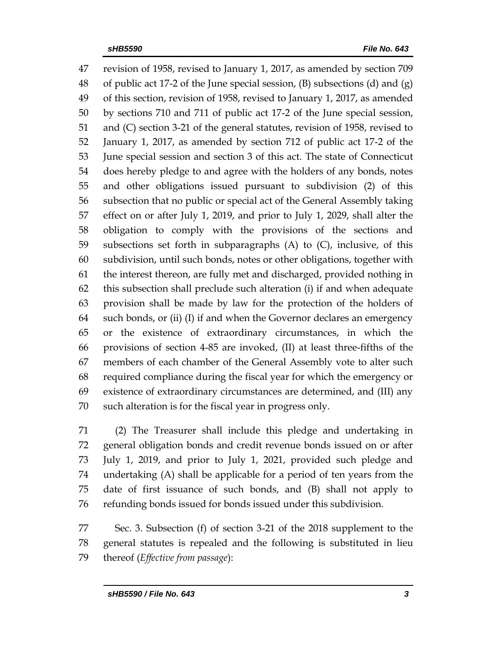revision of 1958, revised to January 1, 2017, as amended by section 709 of public act 17-2 of the June special session, (B) subsections (d) and (g) of this section, revision of 1958, revised to January 1, 2017, as amended by sections 710 and 711 of public act 17-2 of the June special session, and (C) section 3-21 of the general statutes, revision of 1958, revised to January 1, 2017, as amended by section 712 of public act 17-2 of the June special session and section 3 of this act. The state of Connecticut does hereby pledge to and agree with the holders of any bonds, notes and other obligations issued pursuant to subdivision (2) of this subsection that no public or special act of the General Assembly taking effect on or after July 1, 2019, and prior to July 1, 2029, shall alter the obligation to comply with the provisions of the sections and subsections set forth in subparagraphs (A) to (C), inclusive, of this subdivision, until such bonds, notes or other obligations, together with the interest thereon, are fully met and discharged, provided nothing in this subsection shall preclude such alteration (i) if and when adequate provision shall be made by law for the protection of the holders of such bonds, or (ii) (I) if and when the Governor declares an emergency or the existence of extraordinary circumstances, in which the provisions of section 4-85 are invoked, (II) at least three-fifths of the members of each chamber of the General Assembly vote to alter such required compliance during the fiscal year for which the emergency or existence of extraordinary circumstances are determined, and (III) any such alteration is for the fiscal year in progress only.

 (2) The Treasurer shall include this pledge and undertaking in general obligation bonds and credit revenue bonds issued on or after July 1, 2019, and prior to July 1, 2021, provided such pledge and undertaking (A) shall be applicable for a period of ten years from the date of first issuance of such bonds, and (B) shall not apply to refunding bonds issued for bonds issued under this subdivision.

 Sec. 3. Subsection (f) of section 3-21 of the 2018 supplement to the general statutes is repealed and the following is substituted in lieu thereof (*Effective from passage*):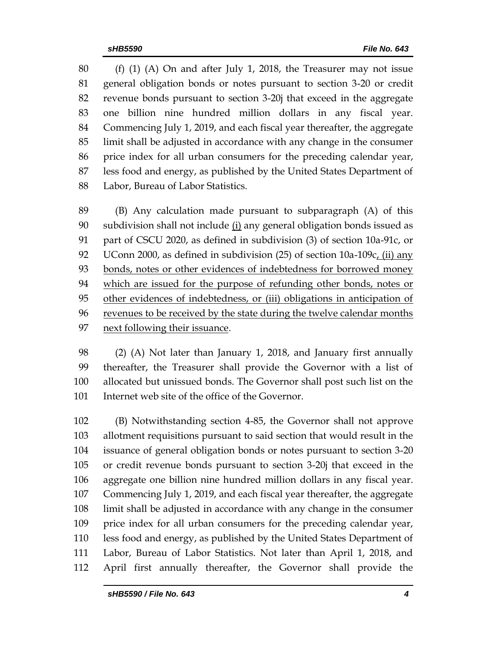(f) (1) (A) On and after July 1, 2018, the Treasurer may not issue general obligation bonds or notes pursuant to section 3-20 or credit revenue bonds pursuant to section 3-20j that exceed in the aggregate one billion nine hundred million dollars in any fiscal year. Commencing July 1, 2019, and each fiscal year thereafter, the aggregate limit shall be adjusted in accordance with any change in the consumer price index for all urban consumers for the preceding calendar year, less food and energy, as published by the United States Department of Labor, Bureau of Labor Statistics.

 (B) Any calculation made pursuant to subparagraph (A) of this subdivision shall not include (i) any general obligation bonds issued as part of CSCU 2020, as defined in subdivision (3) of section 10a-91c, or 92 UConn 2000, as defined in subdivision (25) of section  $10a-109c$  (ii) any bonds, notes or other evidences of indebtedness for borrowed money which are issued for the purpose of refunding other bonds, notes or other evidences of indebtedness, or (iii) obligations in anticipation of revenues to be received by the state during the twelve calendar months next following their issuance.

 (2) (A) Not later than January 1, 2018, and January first annually thereafter, the Treasurer shall provide the Governor with a list of allocated but unissued bonds. The Governor shall post such list on the Internet web site of the office of the Governor.

 (B) Notwithstanding section 4-85, the Governor shall not approve allotment requisitions pursuant to said section that would result in the issuance of general obligation bonds or notes pursuant to section 3-20 or credit revenue bonds pursuant to section 3-20j that exceed in the aggregate one billion nine hundred million dollars in any fiscal year. Commencing July 1, 2019, and each fiscal year thereafter, the aggregate limit shall be adjusted in accordance with any change in the consumer price index for all urban consumers for the preceding calendar year, less food and energy, as published by the United States Department of Labor, Bureau of Labor Statistics. Not later than April 1, 2018, and April first annually thereafter, the Governor shall provide the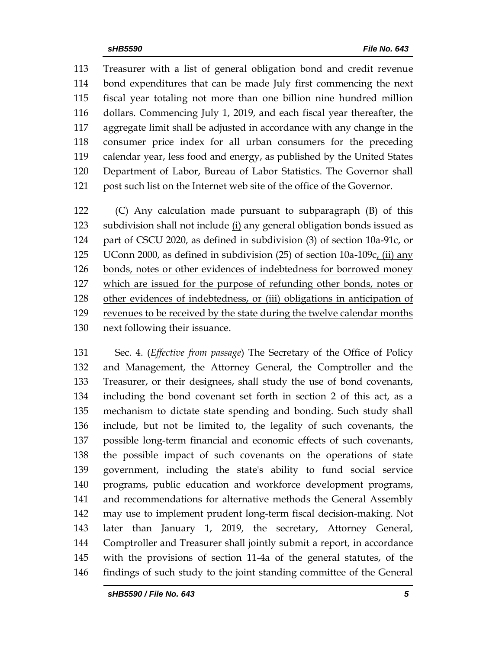Treasurer with a list of general obligation bond and credit revenue bond expenditures that can be made July first commencing the next fiscal year totaling not more than one billion nine hundred million dollars. Commencing July 1, 2019, and each fiscal year thereafter, the aggregate limit shall be adjusted in accordance with any change in the consumer price index for all urban consumers for the preceding calendar year, less food and energy, as published by the United States Department of Labor, Bureau of Labor Statistics. The Governor shall post such list on the Internet web site of the office of the Governor.

 (C) Any calculation made pursuant to subparagraph (B) of this subdivision shall not include (i) any general obligation bonds issued as part of CSCU 2020, as defined in subdivision (3) of section 10a-91c, or 125 UConn 2000, as defined in subdivision (25) of section 10a-109c<sub>L</sub> (ii) any bonds, notes or other evidences of indebtedness for borrowed money which are issued for the purpose of refunding other bonds, notes or other evidences of indebtedness, or (iii) obligations in anticipation of revenues to be received by the state during the twelve calendar months next following their issuance.

 Sec. 4. (*Effective from passage*) The Secretary of the Office of Policy and Management, the Attorney General, the Comptroller and the Treasurer, or their designees, shall study the use of bond covenants, including the bond covenant set forth in section 2 of this act, as a mechanism to dictate state spending and bonding. Such study shall include, but not be limited to, the legality of such covenants, the possible long-term financial and economic effects of such covenants, the possible impact of such covenants on the operations of state government, including the state's ability to fund social service programs, public education and workforce development programs, and recommendations for alternative methods the General Assembly may use to implement prudent long-term fiscal decision-making. Not later than January 1, 2019, the secretary, Attorney General, Comptroller and Treasurer shall jointly submit a report, in accordance with the provisions of section 11-4a of the general statutes, of the findings of such study to the joint standing committee of the General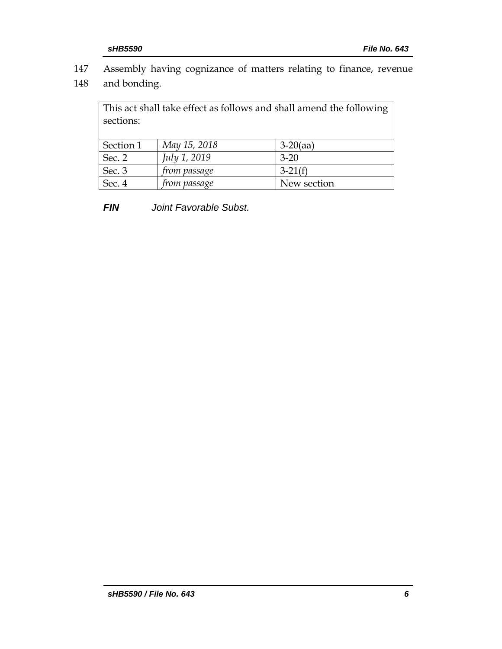- 147 Assembly having cognizance of matters relating to finance, revenue
- 148 and bonding.

This act shall take effect as follows and shall amend the following sections: Section 1 *May 15, 2018* 3-20(aa) Sec. 2 *July 1, 2019* 3-20 Sec. 3 *from passage* 3-21(f) Sec. 4 *from passage* New section

*FIN Joint Favorable Subst.*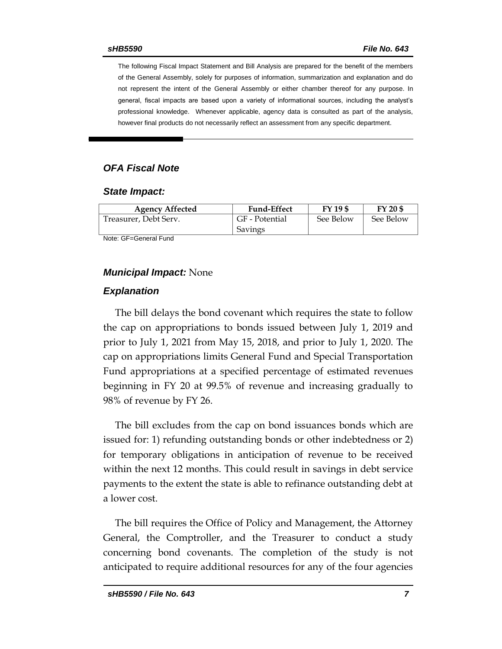The following Fiscal Impact Statement and Bill Analysis are prepared for the benefit of the members of the General Assembly, solely for purposes of information, summarization and explanation and do not represent the intent of the General Assembly or either chamber thereof for any purpose. In general, fiscal impacts are based upon a variety of informational sources, including the analyst's professional knowledge. Whenever applicable, agency data is consulted as part of the analysis, however final products do not necessarily reflect an assessment from any specific department.

#### *OFA Fiscal Note*

#### *State Impact:*

| <b>Agency Affected</b> | <b>Fund-Effect</b>        | FY 19 \$  | FY 20 \$  |
|------------------------|---------------------------|-----------|-----------|
| Treasurer, Debt Serv.  | GF - Potential<br>Savings | See Below | See Below |

Note: GF=General Fund

#### *Municipal Impact:* None

#### *Explanation*

The bill delays the bond covenant which requires the state to follow the cap on appropriations to bonds issued between July 1, 2019 and prior to July 1, 2021 from May 15, 2018, and prior to July 1, 2020. The cap on appropriations limits General Fund and Special Transportation Fund appropriations at a specified percentage of estimated revenues beginning in FY 20 at 99.5% of revenue and increasing gradually to 98% of revenue by FY 26.

The bill excludes from the cap on bond issuances bonds which are issued for: 1) refunding outstanding bonds or other indebtedness or 2) for temporary obligations in anticipation of revenue to be received within the next 12 months. This could result in savings in debt service payments to the extent the state is able to refinance outstanding debt at a lower cost.

The bill requires the Office of Policy and Management, the Attorney General, the Comptroller, and the Treasurer to conduct a study concerning bond covenants. The completion of the study is not anticipated to require additional resources for any of the four agencies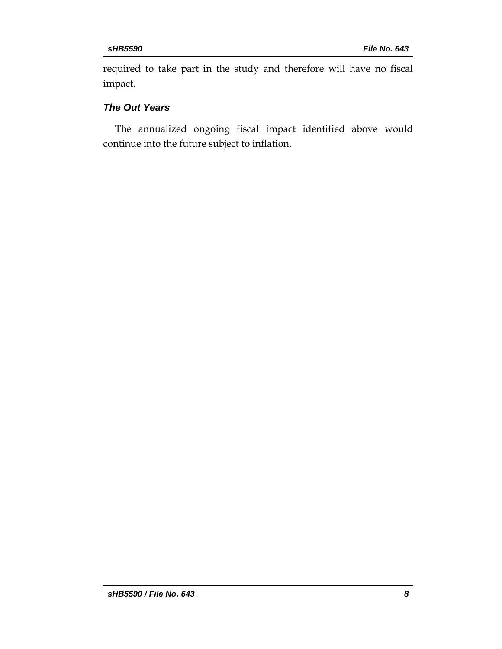required to take part in the study and therefore will have no fiscal impact.

## *The Out Years*

The annualized ongoing fiscal impact identified above would continue into the future subject to inflation.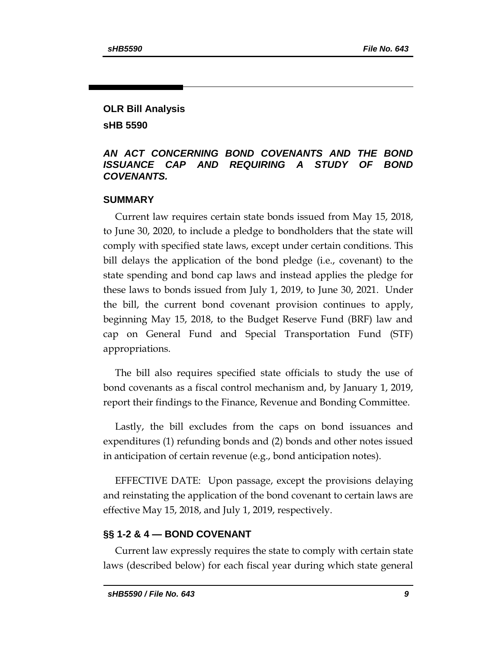## **OLR Bill Analysis sHB 5590**

### *AN ACT CONCERNING BOND COVENANTS AND THE BOND ISSUANCE CAP AND REQUIRING A STUDY OF BOND COVENANTS.*

#### **SUMMARY**

Current law requires certain state bonds issued from May 15, 2018, to June 30, 2020, to include a pledge to bondholders that the state will comply with specified state laws, except under certain conditions. This bill delays the application of the bond pledge (i.e., covenant) to the state spending and bond cap laws and instead applies the pledge for these laws to bonds issued from July 1, 2019, to June 30, 2021. Under the bill, the current bond covenant provision continues to apply, beginning May 15, 2018, to the Budget Reserve Fund (BRF) law and cap on General Fund and Special Transportation Fund (STF) appropriations.

The bill also requires specified state officials to study the use of bond covenants as a fiscal control mechanism and, by January 1, 2019, report their findings to the Finance, Revenue and Bonding Committee.

Lastly, the bill excludes from the caps on bond issuances and expenditures (1) refunding bonds and (2) bonds and other notes issued in anticipation of certain revenue (e.g., bond anticipation notes).

EFFECTIVE DATE: Upon passage, except the provisions delaying and reinstating the application of the bond covenant to certain laws are effective May 15, 2018, and July 1, 2019, respectively.

### **§§ 1-2 & 4 — BOND COVENANT**

Current law expressly requires the state to comply with certain state laws (described below) for each fiscal year during which state general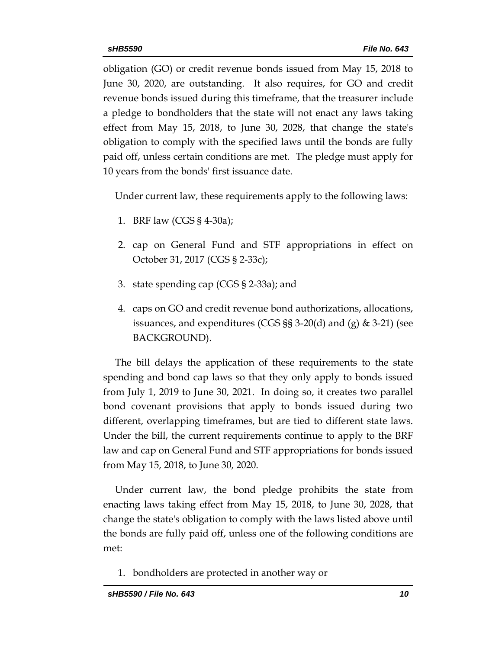obligation (GO) or credit revenue bonds issued from May 15, 2018 to June 30, 2020, are outstanding. It also requires, for GO and credit revenue bonds issued during this timeframe, that the treasurer include a pledge to bondholders that the state will not enact any laws taking effect from May 15, 2018, to June 30, 2028, that change the state's obligation to comply with the specified laws until the bonds are fully paid off, unless certain conditions are met. The pledge must apply for 10 years from the bonds' first issuance date.

Under current law, these requirements apply to the following laws:

- 1. BRF law (CGS § 4-30a);
- 2. cap on General Fund and STF appropriations in effect on October 31, 2017 (CGS § 2-33c);
- 3. state spending cap (CGS § 2-33a); and
- 4. caps on GO and credit revenue bond authorizations, allocations, issuances, and expenditures (CGS §§ 3-20(d) and (g) & 3-21) (see BACKGROUND).

The bill delays the application of these requirements to the state spending and bond cap laws so that they only apply to bonds issued from July 1, 2019 to June 30, 2021. In doing so, it creates two parallel bond covenant provisions that apply to bonds issued during two different, overlapping timeframes, but are tied to different state laws. Under the bill, the current requirements continue to apply to the BRF law and cap on General Fund and STF appropriations for bonds issued from May 15, 2018, to June 30, 2020.

Under current law, the bond pledge prohibits the state from enacting laws taking effect from May 15, 2018, to June 30, 2028, that change the state's obligation to comply with the laws listed above until the bonds are fully paid off, unless one of the following conditions are met:

1. bondholders are protected in another way or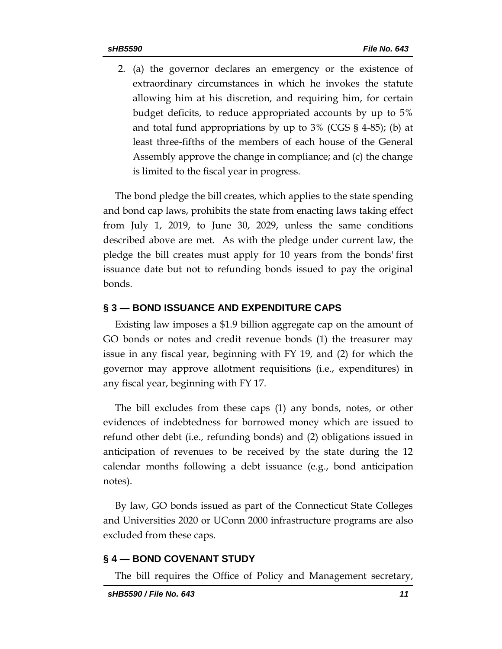2. (a) the governor declares an emergency or the existence of extraordinary circumstances in which he invokes the statute allowing him at his discretion, and requiring him, for certain budget deficits, to reduce appropriated accounts by up to 5% and total fund appropriations by up to 3% (CGS § 4-85); (b) at least three-fifths of the members of each house of the General Assembly approve the change in compliance; and (c) the change is limited to the fiscal year in progress.

The bond pledge the bill creates, which applies to the state spending and bond cap laws, prohibits the state from enacting laws taking effect from July 1, 2019, to June 30, 2029, unless the same conditions described above are met. As with the pledge under current law, the pledge the bill creates must apply for 10 years from the bonds' first issuance date but not to refunding bonds issued to pay the original bonds.

#### **§ 3 — BOND ISSUANCE AND EXPENDITURE CAPS**

Existing law imposes a \$1.9 billion aggregate cap on the amount of GO bonds or notes and credit revenue bonds (1) the treasurer may issue in any fiscal year, beginning with FY 19, and (2) for which the governor may approve allotment requisitions (i.e., expenditures) in any fiscal year, beginning with FY 17.

The bill excludes from these caps (1) any bonds, notes, or other evidences of indebtedness for borrowed money which are issued to refund other debt (i.e., refunding bonds) and (2) obligations issued in anticipation of revenues to be received by the state during the 12 calendar months following a debt issuance (e.g., bond anticipation notes).

By law, GO bonds issued as part of the Connecticut State Colleges and Universities 2020 or UConn 2000 infrastructure programs are also excluded from these caps.

#### **§ 4 — BOND COVENANT STUDY**

The bill requires the Office of Policy and Management secretary,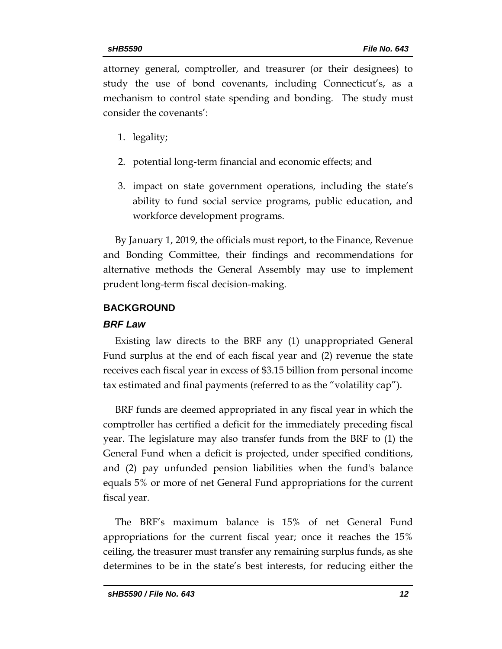attorney general, comptroller, and treasurer (or their designees) to study the use of bond covenants, including Connecticut's, as a mechanism to control state spending and bonding. The study must consider the covenants':

- 1. legality;
- 2. potential long-term financial and economic effects; and
- 3. impact on state government operations, including the state's ability to fund social service programs, public education, and workforce development programs.

By January 1, 2019, the officials must report, to the Finance, Revenue and Bonding Committee, their findings and recommendations for alternative methods the General Assembly may use to implement prudent long-term fiscal decision-making.

## **BACKGROUND**

## *BRF Law*

Existing law directs to the BRF any (1) unappropriated General Fund surplus at the end of each fiscal year and (2) revenue the state receives each fiscal year in excess of \$3.15 billion from personal income tax estimated and final payments (referred to as the "volatility cap").

BRF funds are deemed appropriated in any fiscal year in which the comptroller has certified a deficit for the immediately preceding fiscal year. The legislature may also transfer funds from the BRF to (1) the General Fund when a deficit is projected, under specified conditions, and (2) pay unfunded pension liabilities when the fund's balance equals 5% or more of net General Fund appropriations for the current fiscal year.

The BRF's maximum balance is 15% of net General Fund appropriations for the current fiscal year; once it reaches the 15% ceiling, the treasurer must transfer any remaining surplus funds, as she determines to be in the state's best interests, for reducing either the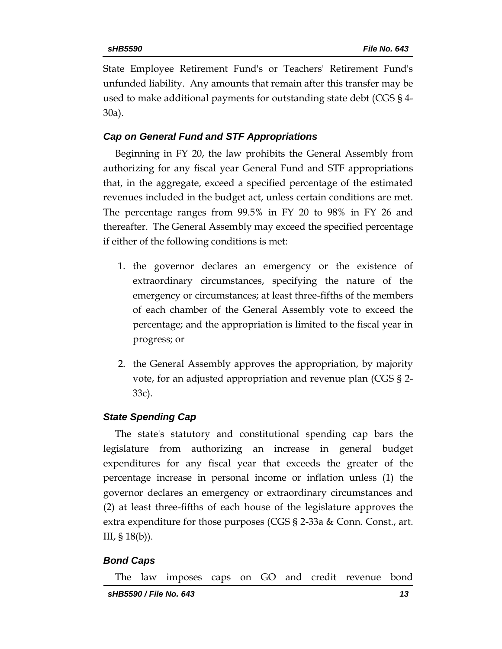State Employee Retirement Fund's or Teachers' Retirement Fund's unfunded liability. Any amounts that remain after this transfer may be used to make additional payments for outstanding state debt (CGS § 4- 30a).

## *Cap on General Fund and STF Appropriations*

Beginning in FY 20, the law prohibits the General Assembly from authorizing for any fiscal year General Fund and STF appropriations that, in the aggregate, exceed a specified percentage of the estimated revenues included in the budget act, unless certain conditions are met. The percentage ranges from 99.5% in FY 20 to 98% in FY 26 and thereafter. The General Assembly may exceed the specified percentage if either of the following conditions is met:

- 1. the governor declares an emergency or the existence of extraordinary circumstances, specifying the nature of the emergency or circumstances; at least three-fifths of the members of each chamber of the General Assembly vote to exceed the percentage; and the appropriation is limited to the fiscal year in progress; or
- 2. the General Assembly approves the appropriation, by majority vote, for an adjusted appropriation and revenue plan (CGS § 2- 33c).

## *State Spending Cap*

The state's statutory and constitutional spending cap bars the legislature from authorizing an increase in general budget expenditures for any fiscal year that exceeds the greater of the percentage increase in personal income or inflation unless (1) the governor declares an emergency or extraordinary circumstances and (2) at least three-fifths of each house of the legislature approves the extra expenditure for those purposes (CGS § 2-33a & Conn. Const., art. III, § 18(b)).

## *Bond Caps*

The law imposes caps on GO and credit revenue bond